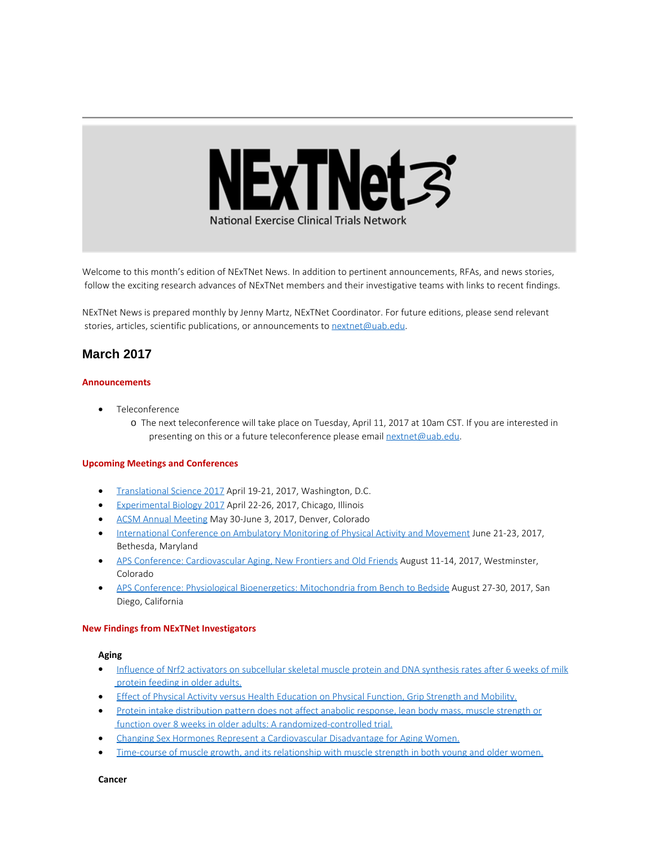

Welcome to this month's edition of NExTNet News. In addition to pertinent announcements, RFAs, and news stories, follow the exciting research advances of NExTNet members and their investigative teams with links to recent findings.

NExTNet News is prepared monthly by Jenny Martz, NExTNet Coordinator. For future editions, please send relevant stories, articles, scientific publications, or announcements to [nextnet@uab.edu](mailto:nextnet@uab.edu).

# **March 2017**

#### **Announcements**

- · Teleconference
	- o The next teleconference will take place on Tuesday, April 11, 2017 at 10am CST. If you are interested in presenting on this or a future teleconference please email [nextnet@uab.edu](mailto:nextnet@uab.edu).

#### **Upcoming Meetings and Conferences**

- · [Translational Science 2017](http://www.actscience.org/ts2017?utm_source=CCTS+Digest+December+16%2C+2016&utm_campaign=Dec.+16%2C+2016+Digest&utm_medium=emailhttp://www.actscience.org/ts2017?utm_source=CCTS+Digest+December+16%2C+2016&utm_campaign=Dec.+16%2C+2016+Digest&utm_medium=email) April 19-21, 2017, Washington, D.C.
- · [Experimental Biology 2017](http://experimentalbiology.org/2017/Home.aspx) April 22-26, 2017, Chicago, Illinois
- · [ACSM Annual Meeting](http://www.acsm.org/attend-a-meeting/annual-meeting) May 30-June 3, 2017, Denver, Colorado
- [International Conference on Ambulatory Monitoring of Physical Activity and Movement](http://www.ismpb.org/2017-bethesda/) June 21-23, 2017, Bethesda, Maryland
- · [APS Conference: Cardiovascular Aging, New Frontiers and Old Friends](http://www.the-aps.org/mm/Conferences/APS-Conferences/2017-Conferences/CV-Aging) August 11-14, 2017, Westminster, Colorado
- · [APS Conference: Physiological Bioenergetics: Mitochondria from Bench to Bedside](http://www.the-aps.org/mm/Conferences/APS-Conferences/2017-Conferences/Bioenergetics) August 27-30, 2017, San Diego, California

#### **New Findings from NExTNet Investigators**

#### **Aging**

- [Influence of Nrf2 activators on subcellular skeletal muscle protein and DNA synthesis rates after 6](https://www.ncbi.nlm.nih.gov/pubmed/28283797) weeks of milk [protein feeding in older adults.](https://www.ncbi.nlm.nih.gov/pubmed/28283797)
- · [Effect of Physical Activity versus Health Education on Physical Function, Grip Strength and Mobility.](https://www.ncbi.nlm.nih.gov/pubmed/28221668)
- · [Protein intake distribution pattern does not affect anabolic response, lean body mass, muscle strength or](https://www.ncbi.nlm.nih.gov/pubmed/28318687) [function over 8 weeks in older adults: A randomized-controlled trial.](https://www.ncbi.nlm.nih.gov/pubmed/28318687)
- · [Changing Sex Hormones Represent a Cardiovascular Disadvantage for Aging Women.](https://www.ncbi.nlm.nih.gov/pubmed/28306677)
- [Time-course of muscle growth, and its relationship with muscle strength in both young and older women.](https://www.ncbi.nlm.nih.gov/pubmed/28276188)

**Cancer**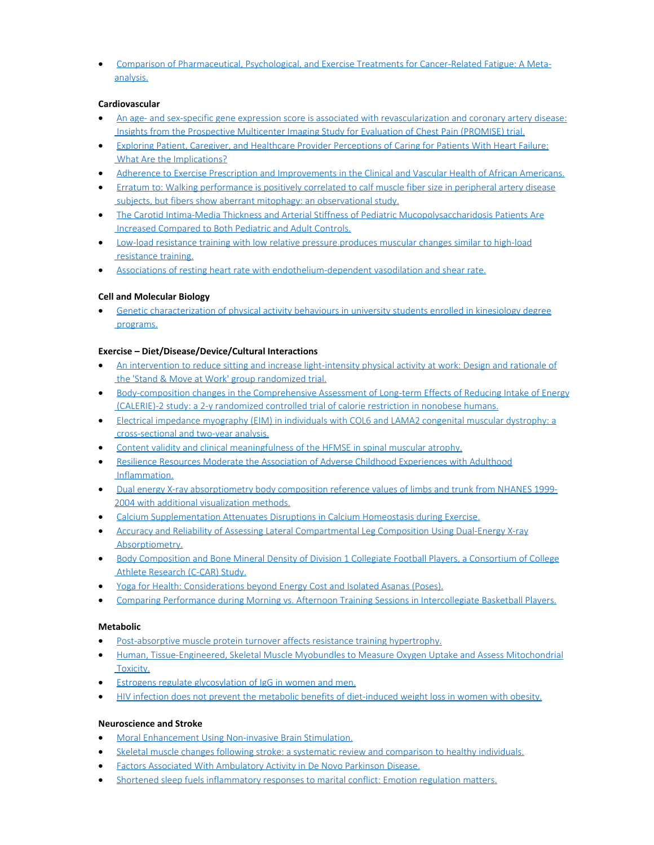· [Comparison of Pharmaceutical, Psychological, and Exercise Treatments for Cancer-Related Fatigue: A Meta](https://www.ncbi.nlm.nih.gov/pubmed/28253393)[analysis.](https://www.ncbi.nlm.nih.gov/pubmed/28253393)

### **Cardiovascular**

- · [An age- and sex-specific gene expression score is associated with revascularization and coronary artery disease:](https://www.ncbi.nlm.nih.gov/pubmed/28224927) [Insights from the Prospective Multicenter Imaging Study for Evaluation of Chest Pain \(PROMISE\) trial.](https://www.ncbi.nlm.nih.gov/pubmed/28224927)
- · [Exploring Patient, Caregiver, and Healthcare Provider Perceptions of Caring for Patients With Heart Failure:](https://www.ncbi.nlm.nih.gov/pubmed/28331455) [What Are the Implications?](https://www.ncbi.nlm.nih.gov/pubmed/28331455)
- · [Adherence to Exercise Prescription and Improvements in the Clinical and Vascular Health of African Americans.](https://www.ncbi.nlm.nih.gov/pubmed/28344738)
- · [Erratum to: Walking performance is positively correlated to](https://www.ncbi.nlm.nih.gov/pubmed/28241774) calf muscle fiber size in peripheral artery disease [subjects, but fibers show aberrant mitophagy: an observational study.](https://www.ncbi.nlm.nih.gov/pubmed/28241774)
- · [The Carotid Intima-Media Thickness and Arterial Stiffness of Pediatric Mucopolysaccharidosis Patients Are](https://www.ncbi.nlm.nih.gov/pubmed/28294991) [Increased Compared to Both Pediatric and Adult Controls.](https://www.ncbi.nlm.nih.gov/pubmed/28294991)
- · [Low-load resistance training with low relative pressure produces muscular changes similar to high-load](https://www.ncbi.nlm.nih.gov/pubmed/28224640) [resistance training.](https://www.ncbi.nlm.nih.gov/pubmed/28224640)
- [Associations of resting heart rate with endothelium-dependent vasodilation and shear rate.](https://www.ncbi.nlm.nih.gov/pubmed/28287891)

## **Cell and Molecular Biology**

[Genetic characterization of physical activity behaviours in university students enrolled in kinesiology degree](https://www.ncbi.nlm.nih.gov/pubmed/28177749) [programs.](https://www.ncbi.nlm.nih.gov/pubmed/28177749)

### **Exercise – Diet/Disease/Device/Cultural Interactions**

- · [An intervention to reduce sitting and increase light-intensity physical activity at work: Design and rationale of](https://www.ncbi.nlm.nih.gov/pubmed/27940181) [the 'Stand & Move at Work' group randomized trial.](https://www.ncbi.nlm.nih.gov/pubmed/27940181)
- [Body-composition changes in the Comprehensive Assessment of Long-term Effects of Reducing Intake of Energy](https://www.ncbi.nlm.nih.gov/pubmed/28228420) [\(CALERIE\)-2 study: a 2-y randomized controlled trial of calorie restriction in nonobese humans.](https://www.ncbi.nlm.nih.gov/pubmed/28228420)
- · [Electrical impedance myography \(EIM\) in individuals with COL6 and LAMA2 congenital muscular dystrophy: a](https://www.ncbi.nlm.nih.gov/pubmed/28224647) [cross-sectional and two-year analysis.](https://www.ncbi.nlm.nih.gov/pubmed/28224647)
- · [Content validity and clinical meaningfulness of the HFMSE in spinal muscular atrophy.](https://www.ncbi.nlm.nih.gov/pubmed/28231823)
- · [Resilience Resources Moderate the Association of Adverse Childhood Experiences with Adulthood](https://www.ncbi.nlm.nih.gov/pubmed/28281135) [Inflammation.](https://www.ncbi.nlm.nih.gov/pubmed/28281135)
- · [Dual energy X-ray absorptiometry body composition reference values of limbs and trunk from NHANES 1999-](https://www.ncbi.nlm.nih.gov/pubmed/28346492) [2004 with additional visualization methods.](https://www.ncbi.nlm.nih.gov/pubmed/28346492)
- · [Calcium Supplementation Attenuates Disruptions in Calcium Homeostasis during Exercise.](https://www.ncbi.nlm.nih.gov/pubmed/28248693)
- · [Accuracy and Reliability of Assessing Lateral Compartmental Leg Composition Using Dual-Energy X-ray](https://www.ncbi.nlm.nih.gov/pubmed/28306643) [Absorptiometry.](https://www.ncbi.nlm.nih.gov/pubmed/28306643)
- · [Body Composition and Bone Mineral Density of Division 1 Collegiate Football Players, a Consortium of College](https://www.ncbi.nlm.nih.gov/pubmed/28277428) [Athlete Research \(C-CAR\) Study.](https://www.ncbi.nlm.nih.gov/pubmed/28277428)
- [Yoga for Health: Considerations beyond Energy Cost and Isolated Asanas \(Poses\).](https://www.ncbi.nlm.nih.gov/pubmed/28306644)
- · [Comparing Performance during Morning vs. Afternoon Training Sessions in Intercollegiate Basketball Players.](https://www.ncbi.nlm.nih.gov/pubmed/28277424)

### **Metabolic**

- [Post-absorptive muscle protein turnover affects resistance training hypertrophy.](http://www.ncbi.nlm.nih.gov/pubmed/28280974)
- · [Human, Tissue-Engineered, Skeletal Muscle Myobundles to Measure Oxygen Uptake and Assess Mitochondrial](https://www.ncbi.nlm.nih.gov/pubmed/28338413) [Toxicity.](https://www.ncbi.nlm.nih.gov/pubmed/28338413)
- · [Estrogens regulate glycosylation of IgG in women and men.](https://www.ncbi.nlm.nih.gov/pubmed/28239652)
- · [HIV infection does not prevent the metabolic benefits of diet-induced weight loss in women with obesity.](https://www.ncbi.nlm.nih.gov/pubmed/28245099)

### **Neuroscience and Stroke**

- [Moral Enhancement Using Non-invasive Brain Stimulation.](https://www.ncbi.nlm.nih.gov/pubmed/28275345)
- · [Skeletal muscle changes following stroke: a systematic review and comparison to healthy individuals.](https://www.ncbi.nlm.nih.gov/pubmed/28251861)
- [Factors Associated With Ambulatory Activity in De Novo Parkinson Disease.](https://www.ncbi.nlm.nih.gov/pubmed/28263256)
- [Shortened sleep fuels inflammatory responses to marital conflict: Emotion regulation matters.](https://www.ncbi.nlm.nih.gov/pubmed/28262602)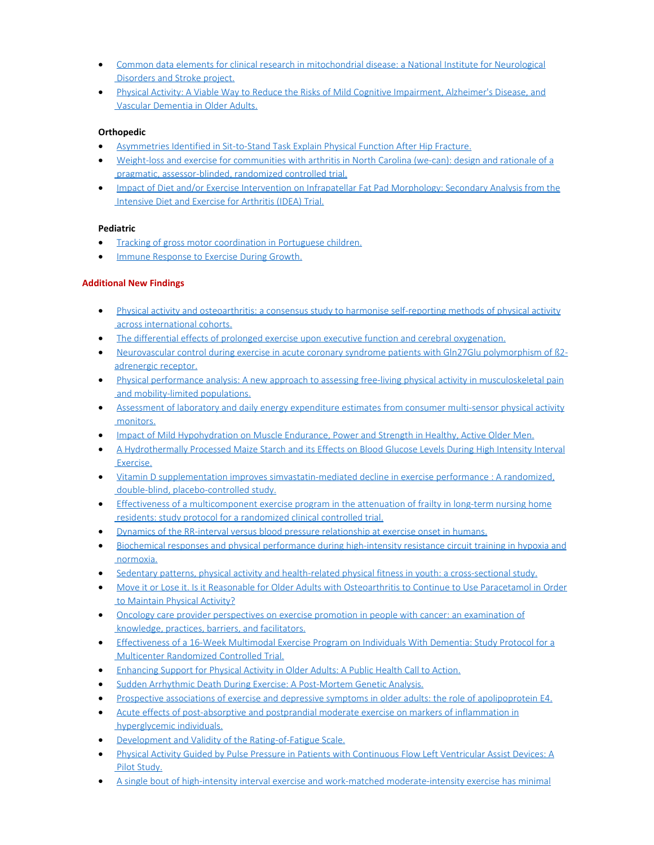- · [Common data elements for clinical research in mitochondrial disease: a National Institute for Neurological](https://www.ncbi.nlm.nih.gov/pubmed/28303425) [Disorders and Stroke project.](https://www.ncbi.nlm.nih.gov/pubmed/28303425)
- · [Physical Activity: A Viable Way to Reduce the Risks of Mild Cognitive Impairment, Alzheimer's Disease, and](https://www.ncbi.nlm.nih.gov/pubmed/28230730) [Vascular Dementia in Older Adults.](https://www.ncbi.nlm.nih.gov/pubmed/28230730)

### **Orthopedic**

- · [Asymmetries Identified in Sit-to-Stand Task Explain Physical Function After Hip Fracture.](https://www.ncbi.nlm.nih.gov/pubmed/28252470)
- · [Weight-loss and exercise for communities with arthritis in North Carolina \(we-can\): design and rationale of a](https://www.ncbi.nlm.nih.gov/pubmed/28228115) [pragmatic, assessor-blinded, randomized controlled trial.](https://www.ncbi.nlm.nih.gov/pubmed/28228115)
- · [Impact of Diet and/or Exercise Intervention on Infrapatellar Fat Pad Morphology: Secondary Analysis from the](https://www.ncbi.nlm.nih.gov/pubmed/28222422) [Intensive Diet and Exercise for Arthritis \(IDEA\) Trial.](https://www.ncbi.nlm.nih.gov/pubmed/28222422)

### **Pediatric**

- [Tracking of gross motor coordination in Portuguese children.](https://www.ncbi.nlm.nih.gov/pubmed/28282742)
- · [Immune Response to Exercise During Growth.](https://www.ncbi.nlm.nih.gov/pubmed/28271813)

### **Additional New Findings**

- · [Physical activity and osteoarthritis: a consensus study to harmonise self-reporting methods of physical activity](http://www.ncbi.nlm.nih.gov/pubmed/28238075) [across international cohorts.](http://www.ncbi.nlm.nih.gov/pubmed/28238075)
- · [The differential effects of prolonged exercise upon executive function and cerebral oxygenation.](http://www.ncbi.nlm.nih.gov/pubmed/28235695)
- · [Neurovascular control during exercise in acute coronary syndrome patients with Gln27Glu polymorphism of β2](http://www.ncbi.nlm.nih.gov/pubmed/28235084) [adrenergic receptor.](http://www.ncbi.nlm.nih.gov/pubmed/28235084)
- · [Physical performance analysis: A new approach to assessing free-living physical activity in musculoskeletal pain](http://www.ncbi.nlm.nih.gov/pubmed/28235039) [and mobility-limited populations.](http://www.ncbi.nlm.nih.gov/pubmed/28235039)
- · [Assessment of laboratory and daily energy expenditure estimates from consumer multi-sensor physical activity](http://www.ncbi.nlm.nih.gov/pubmed/28234979) [monitors.](http://www.ncbi.nlm.nih.gov/pubmed/28234979)
- [Impact of Mild Hypohydration on Muscle Endurance, Power and Strength in Healthy, Active Older Men.](http://www.ncbi.nlm.nih.gov/pubmed/28234715)
- · [A Hydrothermally Processed Maize Starch and its Effects on Blood Glucose Levels During High Intensity Interval](http://www.ncbi.nlm.nih.gov/pubmed/28234714) [Exercise.](http://www.ncbi.nlm.nih.gov/pubmed/28234714)
- · [Vitamin D supplementation improves simvastatin-mediated decline in exercise performance : A randomized,](http://www.ncbi.nlm.nih.gov/pubmed/28233459) [double-blind, placebo-controlled study.](http://www.ncbi.nlm.nih.gov/pubmed/28233459)
- · [Effectiveness of a multicomponent exercise program in the attenuation of frailty in long-term nursing home](http://www.ncbi.nlm.nih.gov/pubmed/28231827) [residents: study protocol for a randomized clinical controlled trial.](http://www.ncbi.nlm.nih.gov/pubmed/28231827)
- · [Dynamics of the RR-interval versus blood pressure relationship at exercise onset in humans.](http://www.ncbi.nlm.nih.gov/pubmed/28238048)
- · [Biochemical responses and physical performance during high-intensity resistance circuit training in hypoxia and](http://www.ncbi.nlm.nih.gov/pubmed/28260202) [normoxia.](http://www.ncbi.nlm.nih.gov/pubmed/28260202)
- [Sedentary patterns, physical activity and health-related physical fitness in youth: a cross-sectional study.](http://www.ncbi.nlm.nih.gov/pubmed/28259140)
- · [Move it or Lose it. Is it Reasonable for Older Adults with Osteoarthritis to Continue to Use Paracetamol in Order](http://www.ncbi.nlm.nih.gov/pubmed/28258536) [to Maintain Physical Activity?](http://www.ncbi.nlm.nih.gov/pubmed/28258536)
- · [Oncology care provider perspectives on exercise promotion in people with cancer: an examination of](http://www.ncbi.nlm.nih.gov/pubmed/28258503) [knowledge, practices, barriers, and facilitators.](http://www.ncbi.nlm.nih.gov/pubmed/28258503)
- · [Effectiveness of a 16-Week Multimodal Exercise Program on Individuals With Dementia: Study Protocol for a](http://www.ncbi.nlm.nih.gov/pubmed/28258048) [Multicenter Randomized Controlled Trial.](http://www.ncbi.nlm.nih.gov/pubmed/28258048)
- [Enhancing Support for Physical Activity in Older Adults: A Public Health Call to Action.](http://www.ncbi.nlm.nih.gov/pubmed/28257410)
- · [Sudden Arrhythmic Death During Exercise: A Post-Mortem Genetic Analysis.](http://www.ncbi.nlm.nih.gov/pubmed/28255936)
- [Prospective associations of exercise and depressive symptoms in older adults: the role of apolipoprotein E4.](http://www.ncbi.nlm.nih.gov/pubmed/28255746)
- · [Acute effects of post-absorptive and postprandial moderate exercise on markers of inflammation in](http://www.ncbi.nlm.nih.gov/pubmed/28255731) [hyperglycemic individuals.](http://www.ncbi.nlm.nih.gov/pubmed/28255731)
- · [Development and Validity of the Rating-of-Fatigue Scale.](http://www.ncbi.nlm.nih.gov/pubmed/28283993)
- · [Physical Activity Guided by Pulse Pressure in Patients with Continuous Flow Left Ventricular Assist Devices: A](http://www.ncbi.nlm.nih.gov/pubmed/28283496) [Pilot Study.](http://www.ncbi.nlm.nih.gov/pubmed/28283496)
- [A single bout of high-intensity interval exercise and work-matched moderate-intensity exercise has minimal](http://www.ncbi.nlm.nih.gov/pubmed/28282751)